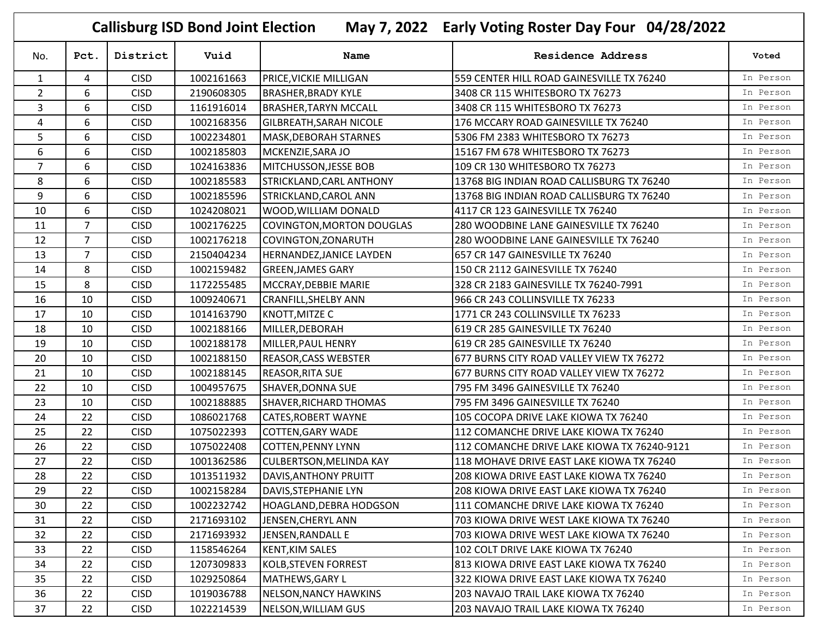|                |                |             | <b>Callisburg ISD Bond Joint Election</b> |                                |                           | May 7, 2022 Early Voting Roster Day Four 04/28/2022 |           |
|----------------|----------------|-------------|-------------------------------------------|--------------------------------|---------------------------|-----------------------------------------------------|-----------|
| No.            | Pct.           | District    | Vuid                                      |                                | Name                      | Residence Address                                   | Voted     |
| $\mathbf{1}$   | 4              | <b>CISD</b> | 1002161663                                | PRICE, VICKIE MILLIGAN         |                           | 559 CENTER HILL ROAD GAINESVILLE TX 76240           | In Person |
| $\overline{2}$ | 6              | <b>CISD</b> | 2190608305                                | <b>BRASHER, BRADY KYLE</b>     |                           | 3408 CR 115 WHITESBORO TX 76273                     | In Person |
| 3              | 6              | <b>CISD</b> | 1161916014                                | <b>BRASHER, TARYN MCCALL</b>   |                           | 3408 CR 115 WHITESBORO TX 76273                     | In Person |
| 4              | 6              | <b>CISD</b> | 1002168356                                | <b>GILBREATH, SARAH NICOLE</b> |                           | 176 MCCARY ROAD GAINESVILLE TX 76240                | In Person |
| 5              | 6              | <b>CISD</b> | 1002234801                                | MASK, DEBORAH STARNES          |                           | 5306 FM 2383 WHITESBORO TX 76273                    | In Person |
| 6              | 6              | <b>CISD</b> | 1002185803                                | MCKENZIE, SARA JO              |                           | 15167 FM 678 WHITESBORO TX 76273                    | In Person |
| $\overline{7}$ | 6              | <b>CISD</b> | 1024163836                                | MITCHUSSON, JESSE BOB          |                           | 109 CR 130 WHITESBORO TX 76273                      | In Person |
| 8              | 6              | <b>CISD</b> | 1002185583                                | STRICKLAND, CARL ANTHONY       |                           | 13768 BIG INDIAN ROAD CALLISBURG TX 76240           | In Person |
| 9              | 6              | <b>CISD</b> | 1002185596                                | STRICKLAND, CAROL ANN          |                           | 13768 BIG INDIAN ROAD CALLISBURG TX 76240           | In Person |
| 10             | 6              | <b>CISD</b> | 1024208021                                | WOOD, WILLIAM DONALD           |                           | 4117 CR 123 GAINESVILLE TX 76240                    | In Person |
| 11             | 7              | <b>CISD</b> | 1002176225                                |                                | COVINGTON, MORTON DOUGLAS | 280 WOODBINE LANE GAINESVILLE TX 76240              | In Person |
| 12             | $\overline{7}$ | <b>CISD</b> | 1002176218                                | COVINGTON, ZONARUTH            |                           | 280 WOODBINE LANE GAINESVILLE TX 76240              | In Person |
| 13             | 7              | <b>CISD</b> | 2150404234                                | HERNANDEZ, JANICE LAYDEN       |                           | 657 CR 147 GAINESVILLE TX 76240                     | In Person |
| 14             | 8              | <b>CISD</b> | 1002159482                                | <b>GREEN, JAMES GARY</b>       |                           | 150 CR 2112 GAINESVILLE TX 76240                    | In Person |
| 15             | 8              | <b>CISD</b> | 1172255485                                | MCCRAY, DEBBIE MARIE           |                           | 328 CR 2183 GAINESVILLE TX 76240-7991               | In Person |
| 16             | 10             | <b>CISD</b> | 1009240671                                | <b>CRANFILL, SHELBY ANN</b>    |                           | 966 CR 243 COLLINSVILLE TX 76233                    | In Person |
| 17             | 10             | <b>CISD</b> | 1014163790                                | KNOTT, MITZE C                 |                           | 1771 CR 243 COLLINSVILLE TX 76233                   | In Person |
| 18             | 10             | <b>CISD</b> | 1002188166                                | MILLER, DEBORAH                |                           | 619 CR 285 GAINESVILLE TX 76240                     | In Person |
| 19             | 10             | <b>CISD</b> | 1002188178                                | MILLER, PAUL HENRY             |                           | 619 CR 285 GAINESVILLE TX 76240                     | In Person |
| 20             | 10             | <b>CISD</b> | 1002188150                                | <b>REASOR, CASS WEBSTER</b>    |                           | 677 BURNS CITY ROAD VALLEY VIEW TX 76272            | In Person |
| 21             | 10             | <b>CISD</b> | 1002188145                                | <b>REASOR, RITA SUE</b>        |                           | 677 BURNS CITY ROAD VALLEY VIEW TX 76272            | In Person |
| 22             | 10             | <b>CISD</b> | 1004957675                                | SHAVER, DONNA SUE              |                           | 795 FM 3496 GAINESVILLE TX 76240                    | In Person |
| 23             | 10             | <b>CISD</b> | 1002188885                                | SHAVER, RICHARD THOMAS         |                           | 795 FM 3496 GAINESVILLE TX 76240                    | In Person |
| 24             | 22             | <b>CISD</b> | 1086021768                                | CATES, ROBERT WAYNE            |                           | 105 COCOPA DRIVE LAKE KIOWA TX 76240                | In Person |
| 25             | 22             | <b>CISD</b> | 1075022393                                | <b>COTTEN, GARY WADE</b>       |                           | 112 COMANCHE DRIVE LAKE KIOWA TX 76240              | In Person |
| 26             | 22             | <b>CISD</b> | 1075022408                                | <b>COTTEN, PENNY LYNN</b>      |                           | 112 COMANCHE DRIVE LAKE KIOWA TX 76240-9121         | In Person |
| 27             | 22             | <b>CISD</b> | 1001362586                                | <b>CULBERTSON, MELINDA KAY</b> |                           | 118 MOHAVE DRIVE EAST LAKE KIOWA TX 76240           | In Person |
| 28             | 22             | <b>CISD</b> | 1013511932                                | DAVIS, ANTHONY PRUITT          |                           | 208 KIOWA DRIVE EAST LAKE KIOWA TX 76240            | In Person |
| 29             | 22             | <b>CISD</b> | 1002158284                                | DAVIS, STEPHANIE LYN           |                           | 208 KIOWA DRIVE EAST LAKE KIOWA TX 76240            | In Person |
| 30             | 22             | <b>CISD</b> | 1002232742                                | HOAGLAND, DEBRA HODGSON        |                           | 111 COMANCHE DRIVE LAKE KIOWA TX 76240              | In Person |
| 31             | 22             | <b>CISD</b> | 2171693102                                | JENSEN, CHERYL ANN             |                           | 703 KIOWA DRIVE WEST LAKE KIOWA TX 76240            | In Person |
| 32             | 22             | <b>CISD</b> | 2171693932                                | JENSEN, RANDALL E              |                           | 703 KIOWA DRIVE WEST LAKE KIOWA TX 76240            | In Person |
| 33             | 22             | <b>CISD</b> | 1158546264                                | <b>KENT, KIM SALES</b>         |                           | 102 COLT DRIVE LAKE KIOWA TX 76240                  | In Person |
| 34             | 22             | <b>CISD</b> | 1207309833                                | <b>KOLB, STEVEN FORREST</b>    |                           | 813 KIOWA DRIVE EAST LAKE KIOWA TX 76240            | In Person |
| 35             | 22             | <b>CISD</b> | 1029250864                                | <b>MATHEWS, GARY L</b>         |                           | 322 KIOWA DRIVE EAST LAKE KIOWA TX 76240            | In Person |
| 36             | 22             | <b>CISD</b> | 1019036788                                | NELSON, NANCY HAWKINS          |                           | 203 NAVAJO TRAIL LAKE KIOWA TX 76240                | In Person |
| 37             | 22             | <b>CISD</b> | 1022214539                                | NELSON, WILLIAM GUS            |                           | 203 NAVAJO TRAIL LAKE KIOWA TX 76240                | In Person |

r